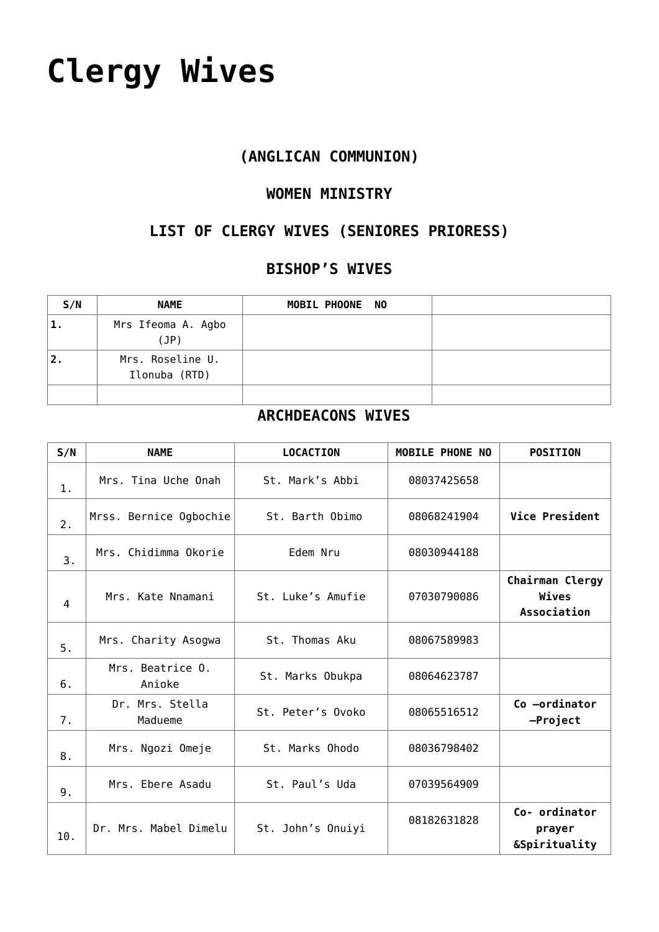# **[Clergy Wives](https://adonsk.com/clergy-wives/)**

## **(ANGLICAN COMMUNION)**

#### **WOMEN MINISTRY**

## **LIST OF CLERGY WIVES (SENIORES PRIORESS)**

### **BISHOP'S WIVES**

| S/N            | <b>NAME</b>                       | MOBIL PHOONE NO |  |
|----------------|-----------------------------------|-----------------|--|
| 1.             | Mrs Ifeoma A. Agbo<br>(JP)        |                 |  |
| $^{\prime}$ 2. | Mrs. Roseline U.<br>Ilonuba (RTD) |                 |  |
|                |                                   |                 |  |

#### **ARCHDEACONS WIVES**

| S/N | <b>NAME</b>                | <b>LOCACTION</b>  | <b>MOBILE PHONE NO</b> | <b>POSITION</b>                                     |
|-----|----------------------------|-------------------|------------------------|-----------------------------------------------------|
| 1.  | Mrs. Tina Uche Onah        | St. Mark's Abbi   | 08037425658            |                                                     |
| 2.  | Mrss. Bernice Ogbochie     | St. Barth Obimo   | 08068241904            | Vice President                                      |
| 3.  | Mrs. Chidimma Okorie       | Edem Nru          | 08030944188            |                                                     |
| 4   | Mrs. Kate Nnamani          | St. Luke's Amufie | 07030790086            | Chairman Clergy<br>Wives<br>Association             |
| 5.  | Mrs. Charity Asogwa        | St. Thomas Aku    | 08067589983            |                                                     |
| 6.  | Mrs. Beatrice 0.<br>Anioke | St. Marks Obukpa  | 08064623787            |                                                     |
| 7.  | Dr. Mrs. Stella<br>Madueme | St. Peter's Ovoko | 08065516512            | Co -ordinator<br>-Project                           |
| 8.  | Mrs. Ngozi Omeje           | St. Marks Ohodo   | 08036798402            |                                                     |
| 9.  | Mrs. Ebere Asadu           | St. Paul's Uda    | 07039564909            |                                                     |
| 10. | Dr. Mrs. Mabel Dimelu      | St. John's Onuiyi | 08182631828            | Co- ordinator<br>prayer<br><b>&amp;Spirituality</b> |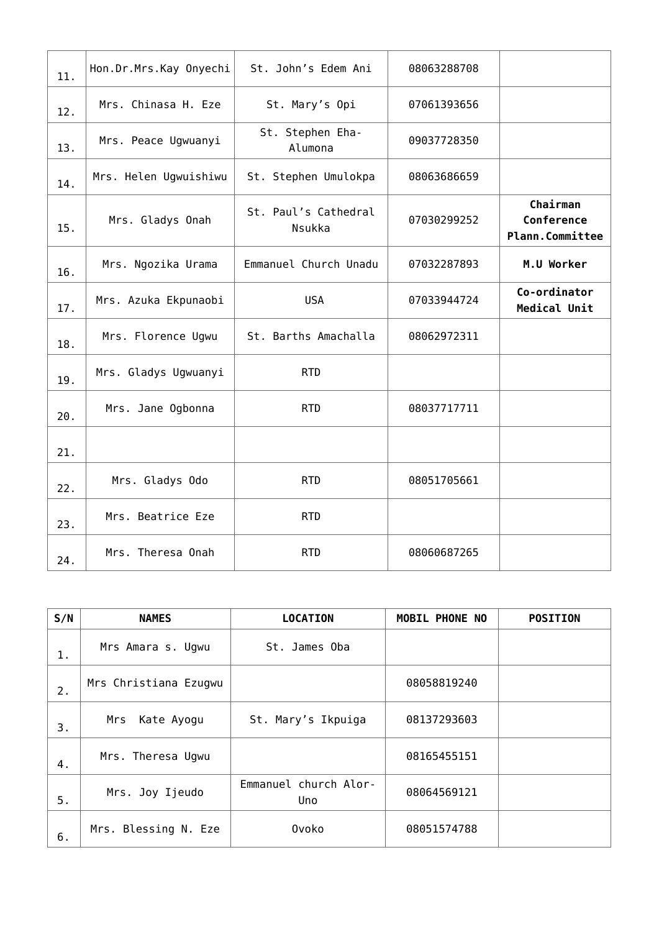| 11. | Hon.Dr.Mrs.Kay Onyechi | St. John's Edem Ani            | 08063288708 |                                                  |
|-----|------------------------|--------------------------------|-------------|--------------------------------------------------|
| 12. | Mrs. Chinasa H. Eze    | St. Mary's Opi                 | 07061393656 |                                                  |
| 13. | Mrs. Peace Ugwuanyi    | St. Stephen Eha-<br>Alumona    | 09037728350 |                                                  |
| 14. | Mrs. Helen Ugwuishiwu  | St. Stephen Umulokpa           | 08063686659 |                                                  |
| 15. | Mrs. Gladys Onah       | St. Paul's Cathedral<br>Nsukka | 07030299252 | Chairman<br>Conference<br><b>Plann.Committee</b> |
| 16. | Mrs. Ngozika Urama     | Emmanuel Church Unadu          | 07032287893 | M.U Worker                                       |
| 17. | Mrs. Azuka Ekpunaobi   | <b>USA</b>                     | 07033944724 | Co-ordinator<br>Medical Unit                     |
| 18. | Mrs. Florence Ugwu     | St. Barths Amachalla           | 08062972311 |                                                  |
| 19. | Mrs. Gladys Ugwuanyi   | <b>RTD</b>                     |             |                                                  |
| 20. | Mrs. Jane Ogbonna      | <b>RTD</b>                     | 08037717711 |                                                  |
| 21. |                        |                                |             |                                                  |
| 22. | Mrs. Gladys Odo        | <b>RTD</b>                     | 08051705661 |                                                  |
| 23. | Mrs. Beatrice Eze      | <b>RTD</b>                     |             |                                                  |
| 24. | Mrs. Theresa Onah      | <b>RTD</b>                     | 08060687265 |                                                  |

| S/N | <b>NAMES</b>          | <b>LOCATION</b>              | <b>MOBIL PHONE NO</b> | <b>POSITION</b> |
|-----|-----------------------|------------------------------|-----------------------|-----------------|
| 1.  | Mrs Amara s. Ugwu     | St. James Oba                |                       |                 |
| 2.  | Mrs Christiana Ezugwu |                              | 08058819240           |                 |
| 3.  | Kate Ayogu<br>Mrs     | St. Mary's Ikpuiga           | 08137293603           |                 |
| 4.  | Mrs. Theresa Ugwu     |                              | 08165455151           |                 |
| 5.  | Mrs. Joy Ijeudo       | Emmanuel church Alor-<br>Uno | 08064569121           |                 |
| 6.  | Mrs. Blessing N. Eze  | Ovoko                        | 08051574788           |                 |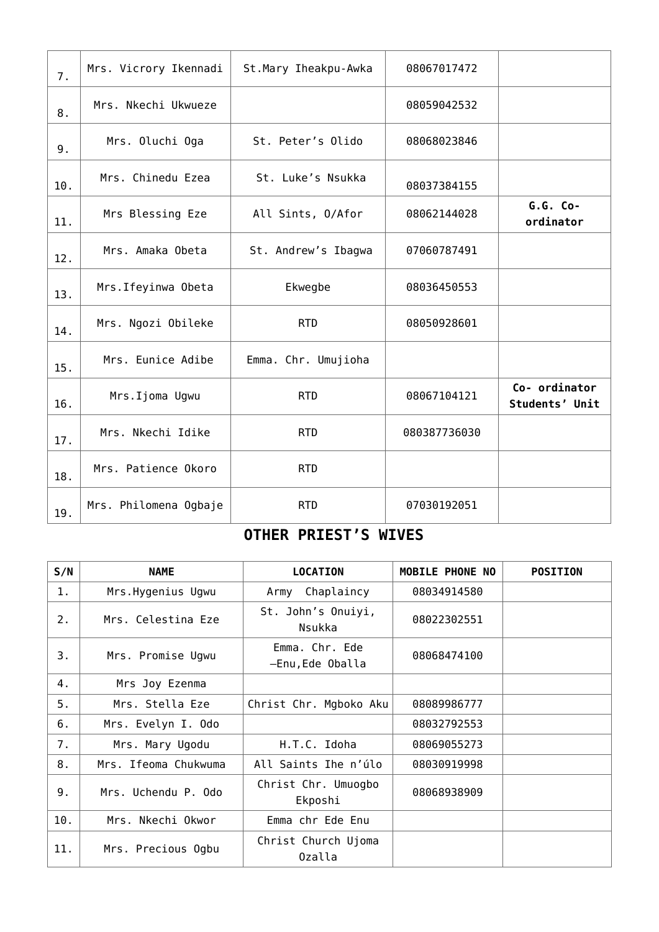| 7.  | Mrs. Vicrory Ikennadi | St. Mary Iheakpu-Awka | 08067017472  |                                 |
|-----|-----------------------|-----------------------|--------------|---------------------------------|
| 8.  | Mrs. Nkechi Ukwueze   |                       | 08059042532  |                                 |
| 9.  | Mrs. Oluchi Oga       | St. Peter's Olido     | 08068023846  |                                 |
| 10. | Mrs. Chinedu Ezea     | St. Luke's Nsukka     | 08037384155  |                                 |
| 11. | Mrs Blessing Eze      | All Sints, O/Afor     | 08062144028  | $G.G. Co-$<br>ordinator         |
| 12. | Mrs. Amaka Obeta      | St. Andrew's Ibagwa   | 07060787491  |                                 |
| 13. | Mrs. Ifeyinwa Obeta   | Ekwegbe               | 08036450553  |                                 |
| 14. | Mrs. Ngozi Obileke    | <b>RTD</b>            | 08050928601  |                                 |
| 15. | Mrs. Eunice Adibe     | Emma. Chr. Umujioha   |              |                                 |
| 16. | Mrs.Ijoma Ugwu        | <b>RTD</b>            | 08067104121  | Co- ordinator<br>Students' Unit |
| 17. | Mrs. Nkechi Idike     | <b>RTD</b>            | 080387736030 |                                 |
| 18. | Mrs. Patience Okoro   | <b>RTD</b>            |              |                                 |
| 19. | Mrs. Philomena Ogbaje | <b>RTD</b>            | 07030192051  |                                 |

## **OTHER PRIEST'S WIVES**

| S/N | <b>NAME</b>          | <b>LOCATION</b>                    | <b>MOBILE PHONE NO</b> | <b>POSITION</b> |
|-----|----------------------|------------------------------------|------------------------|-----------------|
| 1.  | Mrs.Hygenius Ugwu    | Chaplaincy<br>Army                 | 08034914580            |                 |
| 2.  | Mrs. Celestina Eze   | St. John's Onuiyi,<br>Nsukka       | 08022302551            |                 |
| 3.  | Mrs. Promise Ugwu    | Emma. Chr. Ede<br>-Enu, Ede Oballa | 08068474100            |                 |
| 4.  | Mrs Joy Ezenma       |                                    |                        |                 |
| 5.  | Mrs. Stella Eze      | Christ Chr. Mgboko Aku             | 08089986777            |                 |
| 6.  | Mrs. Evelyn I. Odo   |                                    | 08032792553            |                 |
| 7.  | Mrs. Mary Ugodu      | H.T.C. Idoha                       | 08069055273            |                 |
| 8.  | Mrs. Ifeoma Chukwuma | All Saints Ihe n'úlo               | 08030919998            |                 |
| 9.  | Mrs. Uchendu P. Odo  | Christ Chr. Umuogbo<br>Ekposhi     | 08068938909            |                 |
| 10. | Mrs. Nkechi Okwor    | Emma chr Ede Enu                   |                        |                 |
| 11. | Mrs. Precious Ogbu   | Christ Church Ujoma<br>Ozalla      |                        |                 |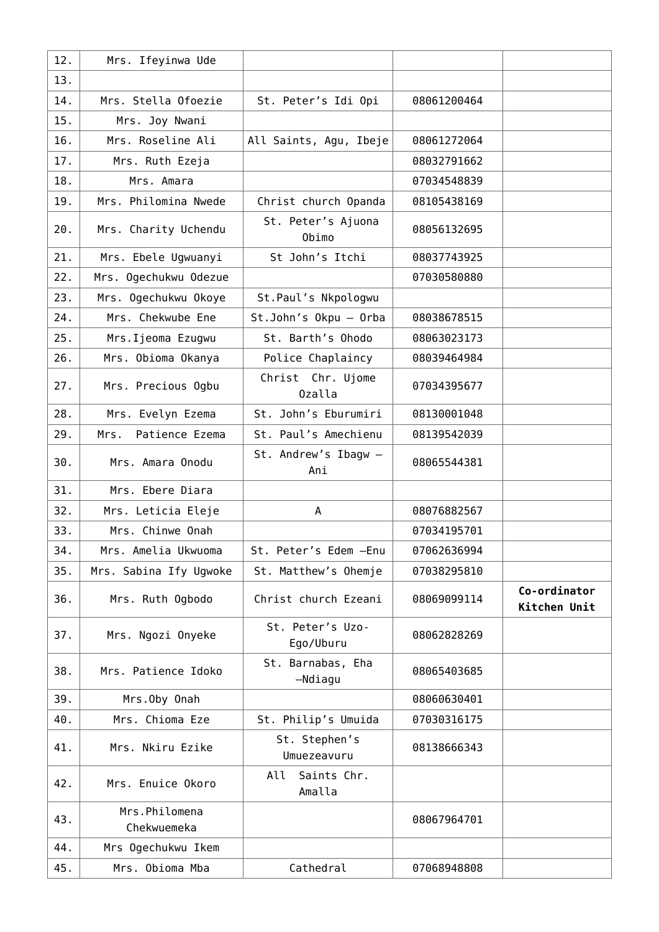| 12. | Mrs. Ifeyinwa Ude             |                               |             |                              |
|-----|-------------------------------|-------------------------------|-------------|------------------------------|
| 13. |                               |                               |             |                              |
| 14. | Mrs. Stella Ofoezie           | St. Peter's Idi Opi           | 08061200464 |                              |
| 15. | Mrs. Joy Nwani                |                               |             |                              |
| 16. | Mrs. Roseline Ali             | All Saints, Agu, Ibeje        | 08061272064 |                              |
| 17. | Mrs. Ruth Ezeja               |                               | 08032791662 |                              |
| 18. | Mrs. Amara                    |                               | 07034548839 |                              |
| 19. | Mrs. Philomina Nwede          | Christ church Opanda          | 08105438169 |                              |
| 20. | Mrs. Charity Uchendu          | St. Peter's Ajuona<br>Obimo   | 08056132695 |                              |
| 21. | Mrs. Ebele Ugwuanyi           | St John's Itchi               | 08037743925 |                              |
| 22. | Mrs. Ogechukwu Odezue         |                               | 07030580880 |                              |
| 23. | Mrs. Ogechukwu Okoye          | St. Paul's Nkpologwu          |             |                              |
| 24. | Mrs. Chekwube Ene             | St.John's Okpu - Orba         | 08038678515 |                              |
| 25. | Mrs. Ijeoma Ezugwu            | St. Barth's Ohodo             | 08063023173 |                              |
| 26. | Mrs. Obioma Okanya            | Police Chaplaincy             | 08039464984 |                              |
| 27. | Mrs. Precious Ogbu            | Christ Chr. Ujome<br>Ozalla   | 07034395677 |                              |
| 28. | Mrs. Evelyn Ezema             | St. John's Eburumiri          | 08130001048 |                              |
| 29. | Patience Ezema<br>Mrs.        | St. Paul's Amechienu          | 08139542039 |                              |
| 30. | Mrs. Amara Onodu              | St. Andrew's Ibagw -<br>Ani   | 08065544381 |                              |
| 31. | Mrs. Ebere Diara              |                               |             |                              |
| 32. | Mrs. Leticia Eleje            | A                             | 08076882567 |                              |
| 33. | Mrs. Chinwe Onah              |                               | 07034195701 |                              |
| 34. | Mrs. Amelia Ukwuoma           | St. Peter's Edem - Enu        | 07062636994 |                              |
| 35. | Mrs. Sabina Ify Ugwoke        | St. Matthew's Ohemje          | 07038295810 |                              |
| 36. | Mrs. Ruth Ogbodo              | Christ church Ezeani          | 08069099114 | Co-ordinator<br>Kitchen Unit |
| 37. | Mrs. Ngozi Onyeke             | St. Peter's Uzo-<br>Ego/Uburu | 08062828269 |                              |
| 38. | Mrs. Patience Idoko           | St. Barnabas, Eha<br>-Ndiagu  | 08065403685 |                              |
| 39. | Mrs.Oby Onah                  |                               | 08060630401 |                              |
| 40. | Mrs. Chioma Eze               | St. Philip's Umuida           | 07030316175 |                              |
| 41. | Mrs. Nkiru Ezike              | St. Stephen's<br>Umuezeavuru  | 08138666343 |                              |
| 42. | Mrs. Enuice Okoro             | All<br>Saints Chr.<br>Amalla  |             |                              |
| 43. | Mrs. Philomena<br>Chekwuemeka |                               | 08067964701 |                              |
| 44. | Mrs Ogechukwu Ikem            |                               |             |                              |
| 45. | Mrs. Obioma Mba               | Cathedral                     | 07068948808 |                              |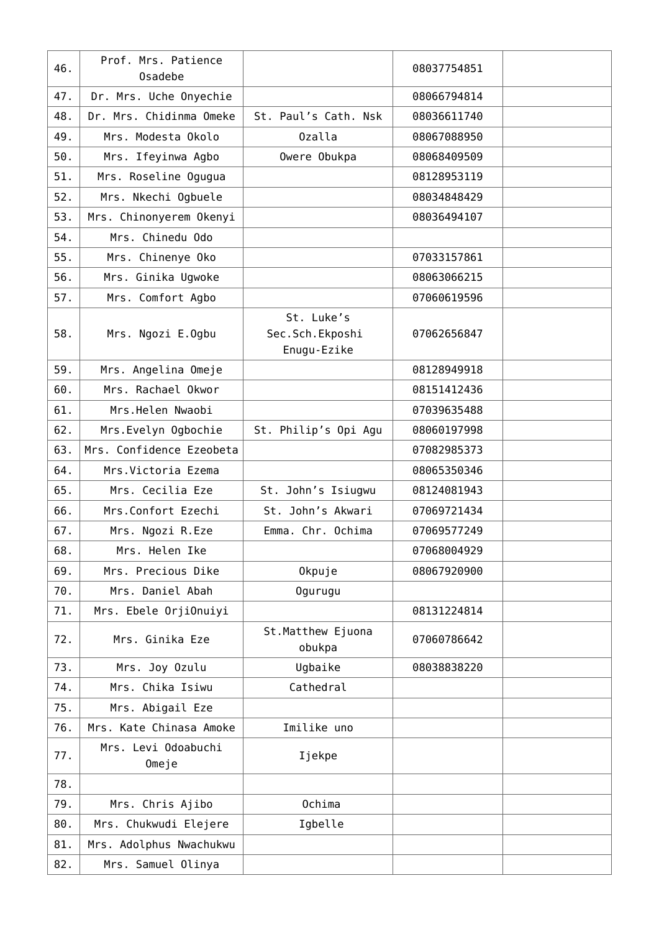| 46. | Prof. Mrs. Patience<br>Osadebe |                                              | 08037754851 |  |
|-----|--------------------------------|----------------------------------------------|-------------|--|
| 47. | Dr. Mrs. Uche Onyechie         |                                              | 08066794814 |  |
| 48. | Dr. Mrs. Chidinma Omeke        | St. Paul's Cath. Nsk                         | 08036611740 |  |
| 49. | Mrs. Modesta Okolo             | Ozalla                                       | 08067088950 |  |
| 50. | Mrs. Ifeyinwa Agbo             | Owere Obukpa                                 | 08068409509 |  |
| 51. | Mrs. Roseline Ogugua           |                                              | 08128953119 |  |
| 52. | Mrs. Nkechi Ogbuele            |                                              | 08034848429 |  |
| 53. | Mrs. Chinonyerem Okenyi        |                                              | 08036494107 |  |
| 54. | Mrs. Chinedu Odo               |                                              |             |  |
| 55. | Mrs. Chinenye Oko              |                                              | 07033157861 |  |
| 56. | Mrs. Ginika Ugwoke             |                                              | 08063066215 |  |
| 57. | Mrs. Comfort Agbo              |                                              | 07060619596 |  |
| 58. | Mrs. Ngozi E.Ogbu              | St. Luke's<br>Sec.Sch.Ekposhi<br>Enugu-Ezike | 07062656847 |  |
| 59. | Mrs. Angelina Omeje            |                                              | 08128949918 |  |
| 60. | Mrs. Rachael Okwor             |                                              | 08151412436 |  |
| 61. | Mrs.Helen Nwaobi               |                                              | 07039635488 |  |
| 62. | Mrs.Evelyn Ogbochie            | St. Philip's Opi Agu                         | 08060197998 |  |
| 63. | Mrs. Confidence Ezeobeta       |                                              | 07082985373 |  |
| 64. | Mrs. Victoria Ezema            |                                              | 08065350346 |  |
| 65. | Mrs. Cecilia Eze               | St. John's Isiugwu                           | 08124081943 |  |
| 66. | Mrs.Confort Ezechi             | St. John's Akwari                            | 07069721434 |  |
| 67. | Mrs. Ngozi R.Eze               | Emma. Chr. Ochima                            | 07069577249 |  |
| 68. | Mrs. Helen Ike                 |                                              | 07068004929 |  |
| 69. | Mrs. Precious Dike             | Okpuje                                       | 08067920900 |  |
| 70. | Mrs. Daniel Abah               | Ogurugu                                      |             |  |
| 71. | Mrs. Ebele OrjiOnuiyi          |                                              | 08131224814 |  |
| 72. | Mrs. Ginika Eze                | St.Matthew Ejuona<br>obukpa                  | 07060786642 |  |
| 73. | Mrs. Joy Ozulu                 | Ugbaike                                      | 08038838220 |  |
| 74. | Mrs. Chika Isiwu               | Cathedral                                    |             |  |
| 75. | Mrs. Abigail Eze               |                                              |             |  |
| 76. | Mrs. Kate Chinasa Amoke        | Imilike uno                                  |             |  |
| 77. | Mrs. Levi Odoabuchi<br>Omeje   | Ijekpe                                       |             |  |
| 78. |                                |                                              |             |  |
| 79. | Mrs. Chris Ajibo               | Ochima                                       |             |  |
| 80. | Mrs. Chukwudi Elejere          | Igbelle                                      |             |  |
| 81. | Mrs. Adolphus Nwachukwu        |                                              |             |  |
| 82. | Mrs. Samuel Olinya             |                                              |             |  |